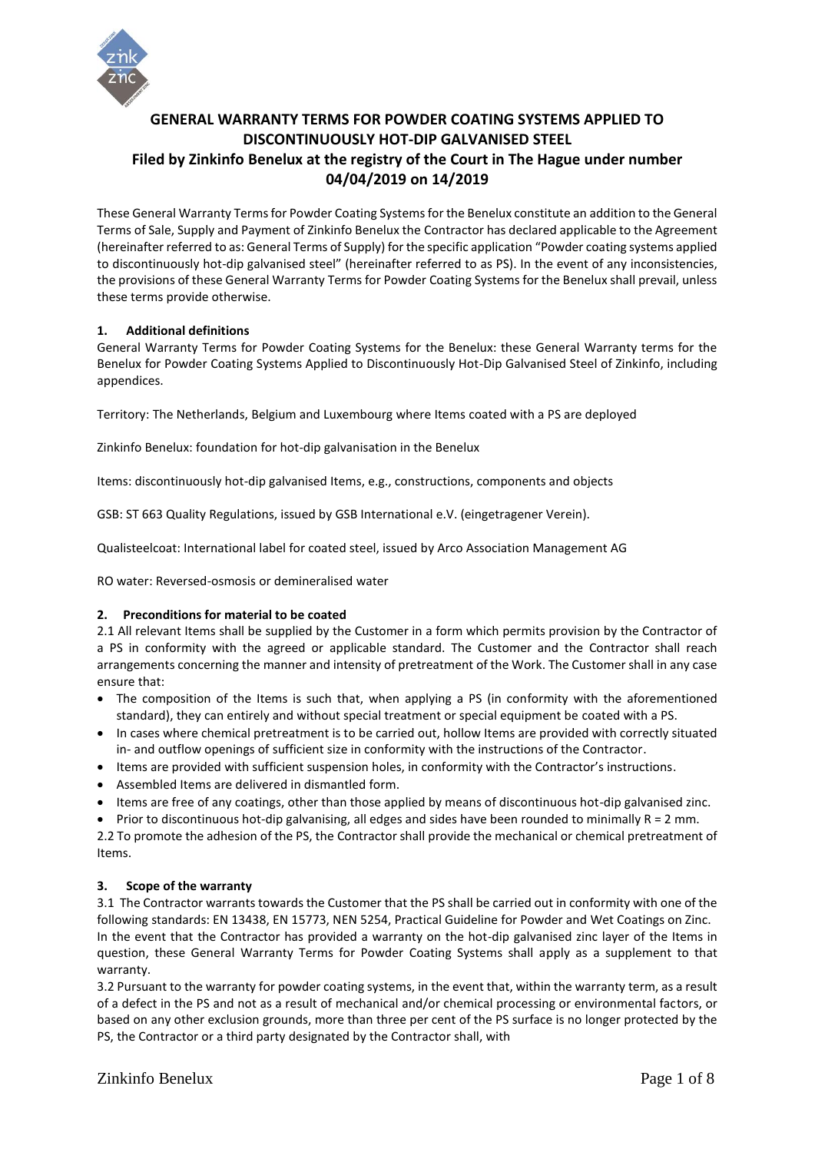

# **GENERAL WARRANTY TERMS FOR POWDER COATING SYSTEMS APPLIED TO DISCONTINUOUSLY HOT-DIP GALVANISED STEEL Filed by Zinkinfo Benelux at the registry of the Court in The Hague under number 04/04/2019 on 14/2019**

These General Warranty Terms for Powder Coating Systems for the Benelux constitute an addition to the General Terms of Sale, Supply and Payment of Zinkinfo Benelux the Contractor has declared applicable to the Agreement (hereinafter referred to as: General Terms of Supply) for the specific application "Powder coating systems applied to discontinuously hot-dip galvanised steel" (hereinafter referred to as PS). In the event of any inconsistencies, the provisions of these General Warranty Terms for Powder Coating Systems for the Benelux shall prevail, unless these terms provide otherwise.

## **1. Additional definitions**

General Warranty Terms for Powder Coating Systems for the Benelux: these General Warranty terms for the Benelux for Powder Coating Systems Applied to Discontinuously Hot-Dip Galvanised Steel of Zinkinfo, including appendices.

Territory: The Netherlands, Belgium and Luxembourg where Items coated with a PS are deployed

Zinkinfo Benelux: foundation for hot-dip galvanisation in the Benelux

Items: discontinuously hot-dip galvanised Items, e.g., constructions, components and objects

GSB: ST 663 Quality Regulations, issued by GSB International e.V. (eingetragener Verein).

Qualisteelcoat: International label for coated steel, issued by Arco Association Management AG

RO water: Reversed-osmosis or demineralised water

#### **2. Preconditions for material to be coated**

2.1 All relevant Items shall be supplied by the Customer in a form which permits provision by the Contractor of a PS in conformity with the agreed or applicable standard. The Customer and the Contractor shall reach arrangements concerning the manner and intensity of pretreatment of the Work. The Customer shall in any case ensure that:

- The composition of the Items is such that, when applying a PS (in conformity with the aforementioned standard), they can entirely and without special treatment or special equipment be coated with a PS.
- In cases where chemical pretreatment is to be carried out, hollow Items are provided with correctly situated in- and outflow openings of sufficient size in conformity with the instructions of the Contractor.
- Items are provided with sufficient suspension holes, in conformity with the Contractor's instructions.
- Assembled Items are delivered in dismantled form.
- Items are free of any coatings, other than those applied by means of discontinuous hot-dip galvanised zinc.
- Prior to discontinuous hot-dip galvanising, all edges and sides have been rounded to minimally R = 2 mm.

2.2 To promote the adhesion of the PS, the Contractor shall provide the mechanical or chemical pretreatment of Items.

## **3. Scope of the warranty**

3.1 The Contractor warrants towards the Customer that the PS shall be carried out in conformity with one of the following standards: EN 13438, EN 15773, NEN 5254, Practical Guideline for Powder and Wet Coatings on Zinc. In the event that the Contractor has provided a warranty on the hot-dip galvanised zinc layer of the Items in question, these General Warranty Terms for Powder Coating Systems shall apply as a supplement to that warranty.

3.2 Pursuant to the warranty for powder coating systems, in the event that, within the warranty term, as a result of a defect in the PS and not as a result of mechanical and/or chemical processing or environmental factors, or based on any other exclusion grounds, more than three per cent of the PS surface is no longer protected by the PS, the Contractor or a third party designated by the Contractor shall, with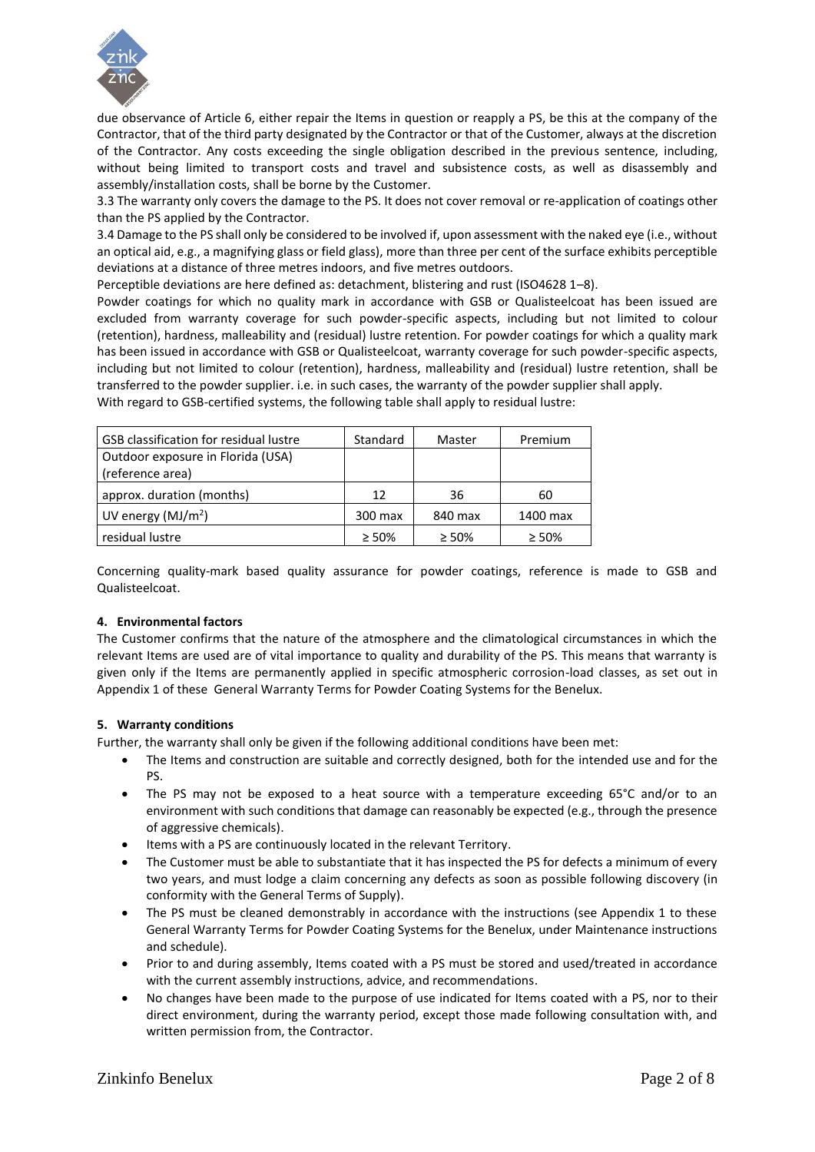

due observance of Article 6, either repair the Items in question or reapply a PS, be this at the company of the Contractor, that of the third party designated by the Contractor or that of the Customer, always at the discretion of the Contractor. Any costs exceeding the single obligation described in the previous sentence, including, without being limited to transport costs and travel and subsistence costs, as well as disassembly and assembly/installation costs, shall be borne by the Customer.

3.3 The warranty only covers the damage to the PS. It does not cover removal or re-application of coatings other than the PS applied by the Contractor.

3.4 Damage to the PS shall only be considered to be involved if, upon assessment with the naked eye (i.e., without an optical aid, e.g., a magnifying glass or field glass), more than three per cent of the surface exhibits perceptible deviations at a distance of three metres indoors, and five metres outdoors.

Perceptible deviations are here defined as: detachment, blistering and rust (ISO4628 1–8).

Powder coatings for which no quality mark in accordance with GSB or Qualisteelcoat has been issued are excluded from warranty coverage for such powder-specific aspects, including but not limited to colour (retention), hardness, malleability and (residual) lustre retention. For powder coatings for which a quality mark has been issued in accordance with GSB or Qualisteelcoat, warranty coverage for such powder-specific aspects, including but not limited to colour (retention), hardness, malleability and (residual) lustre retention, shall be transferred to the powder supplier. i.e. in such cases, the warranty of the powder supplier shall apply. With regard to GSB-certified systems, the following table shall apply to residual lustre:

| <b>GSB classification for residual lustre</b>         | Standard    | Master      | Premium     |
|-------------------------------------------------------|-------------|-------------|-------------|
| Outdoor exposure in Florida (USA)<br>(reference area) |             |             |             |
| approx. duration (months)                             | 12          | 36          | 60          |
| UV energy $(MJ/m2)$                                   | 300 max     | 840 max     | 1400 max    |
| residual lustre                                       | $\geq 50\%$ | $\geq 50\%$ | $\geq 50\%$ |

Concerning quality-mark based quality assurance for powder coatings, reference is made to GSB and Qualisteelcoat.

#### **4. Environmental factors**

The Customer confirms that the nature of the atmosphere and the climatological circumstances in which the relevant Items are used are of vital importance to quality and durability of the PS. This means that warranty is given only if the Items are permanently applied in specific atmospheric corrosion-load classes, as set out in Appendix 1 of these General Warranty Terms for Powder Coating Systems for the Benelux.

#### **5. Warranty conditions**

Further, the warranty shall only be given if the following additional conditions have been met:

- The Items and construction are suitable and correctly designed, both for the intended use and for the PS.
- The PS may not be exposed to a heat source with a temperature exceeding 65°C and/or to an environment with such conditions that damage can reasonably be expected (e.g., through the presence of aggressive chemicals).
- Items with a PS are continuously located in the relevant Territory.
- The Customer must be able to substantiate that it has inspected the PS for defects a minimum of every two years, and must lodge a claim concerning any defects as soon as possible following discovery (in conformity with the General Terms of Supply).
- The PS must be cleaned demonstrably in accordance with the instructions (see Appendix 1 to these General Warranty Terms for Powder Coating Systems for the Benelux, under Maintenance instructions and schedule).
- Prior to and during assembly, Items coated with a PS must be stored and used/treated in accordance with the current assembly instructions, advice, and recommendations.
- No changes have been made to the purpose of use indicated for Items coated with a PS, nor to their direct environment, during the warranty period, except those made following consultation with, and written permission from, the Contractor.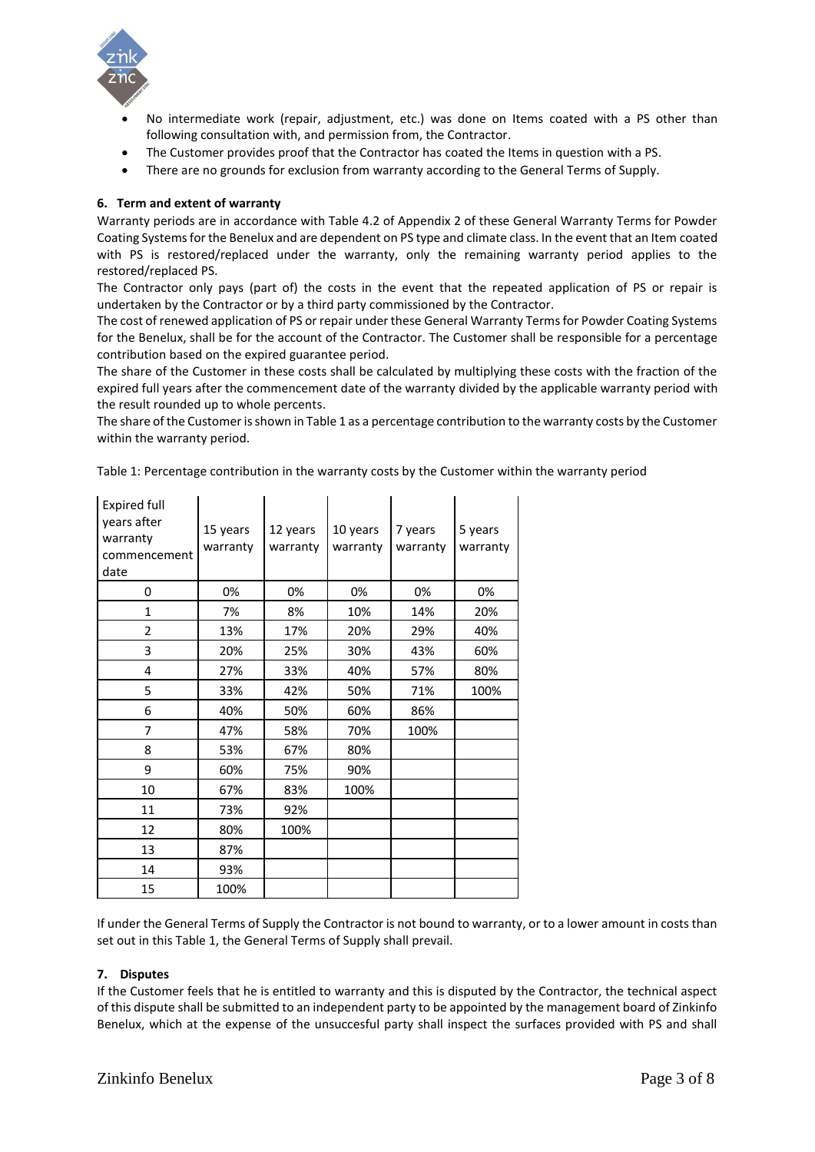

- No intermediate work (repair, adjustment, etc.) was done on Items coated with a PS other than following consultation with, and permission from, the Contractor.
- The Customer provides proof that the Contractor has coated the Items in question with a PS.
- There are no grounds for exclusion from warranty according to the General Terms of Supply.

## **6. Term and extent of warranty**

Warranty periods are in accordance with Table 4.2 of Appendix 2 of these General Warranty Terms for Powder Coating Systems for the Benelux and are dependent on PS type and climate class. In the event that an Item coated with PS is restored/replaced under the warranty, only the remaining warranty period applies to the restored/replaced PS.

The Contractor only pays (part of) the costs in the event that the repeated application of PS or repair is undertaken by the Contractor or by a third party commissioned by the Contractor.

The cost of renewed application of PS or repair under these General Warranty Terms for Powder Coating Systems for the Benelux, shall be for the account of the Contractor. The Customer shall be responsible for a percentage contribution based on the expired guarantee period.

The share of the Customer in these costs shall be calculated by multiplying these costs with the fraction of the expired full years after the commencement date of the warranty divided by the applicable warranty period with the result rounded up to whole percents.

The share of the Customer is shown in Table 1 as a percentage contribution to the warranty costs by the Customer within the warranty period.

| <b>Expired full</b><br>years after<br>warranty<br>commencement<br>date | 15 years<br>warranty | 12 years<br>warranty | 10 years<br>warranty | 7 years<br>warranty | 5 years<br>warranty |
|------------------------------------------------------------------------|----------------------|----------------------|----------------------|---------------------|---------------------|
| 0                                                                      | 0%                   | 0%                   | 0%                   | 0%                  | 0%                  |
| $\mathbf{1}$                                                           | 7%                   | 8%                   | 10%                  | 14%                 | 20%                 |
| $\overline{2}$                                                         | 13%                  | 17%                  | 20%                  | 29%                 | 40%                 |
| 3                                                                      | 20%                  | 25%                  | 30%                  | 43%                 | 60%                 |
| 4                                                                      | 27%                  | 33%                  | 40%                  | 57%                 | 80%                 |
| 5                                                                      | 33%                  | 42%                  | 50%                  | 71%                 | 100%                |
| 6                                                                      | 40%                  | 50%                  | 60%                  | 86%                 |                     |
| 7                                                                      | 47%                  | 58%                  | 70%                  | 100%                |                     |
| 8                                                                      | 53%                  | 67%                  | 80%                  |                     |                     |
| 9                                                                      | 60%                  | 75%                  | 90%                  |                     |                     |
| 10                                                                     | 67%                  | 83%                  | 100%                 |                     |                     |
| 11                                                                     | 73%                  | 92%                  |                      |                     |                     |
| 12                                                                     | 80%                  | 100%                 |                      |                     |                     |
| 13                                                                     | 87%                  |                      |                      |                     |                     |
| 14                                                                     | 93%                  |                      |                      |                     |                     |
| 15                                                                     | 100%                 |                      |                      |                     |                     |

Table 1: Percentage contribution in the warranty costs by the Customer within the warranty period

If under the General Terms of Supply the Contractor is not bound to warranty, or to a lower amount in costs than set out in this Table 1, the General Terms of Supply shall prevail.

#### **7. Disputes**

If the Customer feels that he is entitled to warranty and this is disputed by the Contractor, the technical aspect of this dispute shall be submitted to an independent party to be appointed by the management board of Zinkinfo Benelux, which at the expense of the unsuccesful party shall inspect the surfaces provided with PS and shall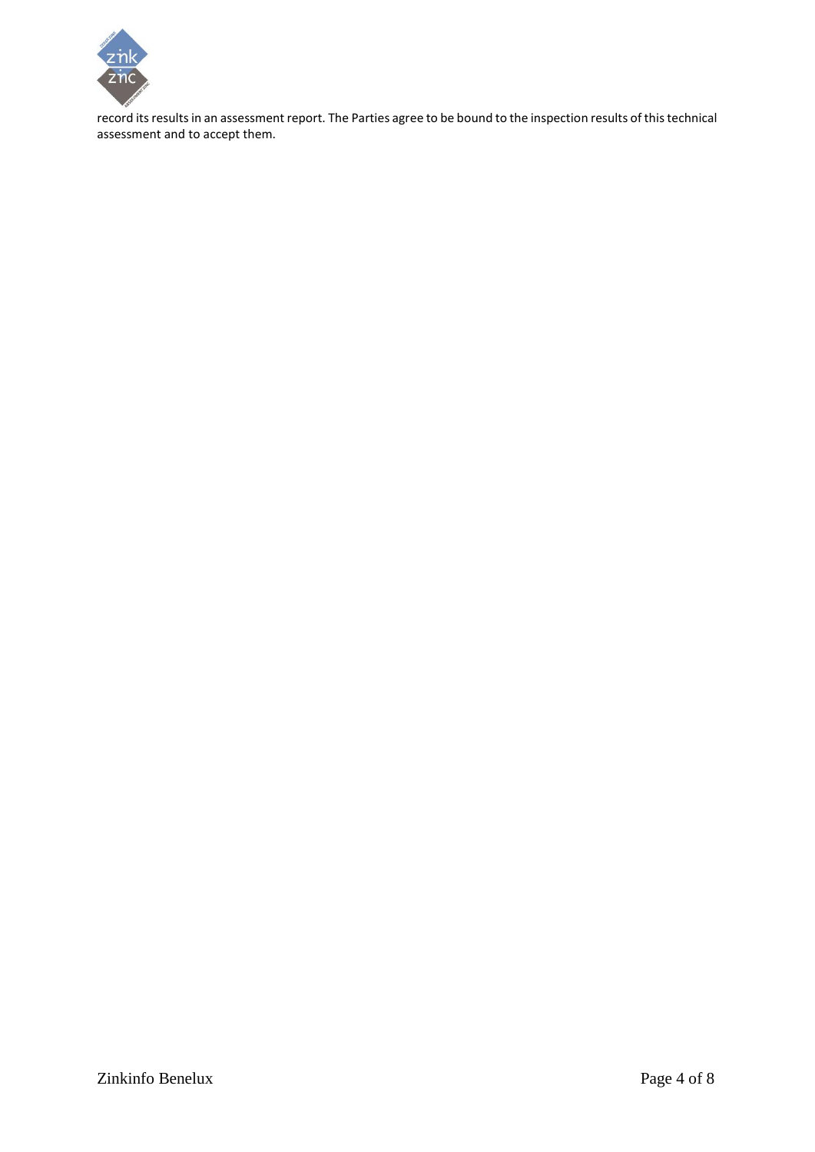

record its results in an assessment report. The Parties agree to be bound to the inspection results of this technical assessment and to accept them.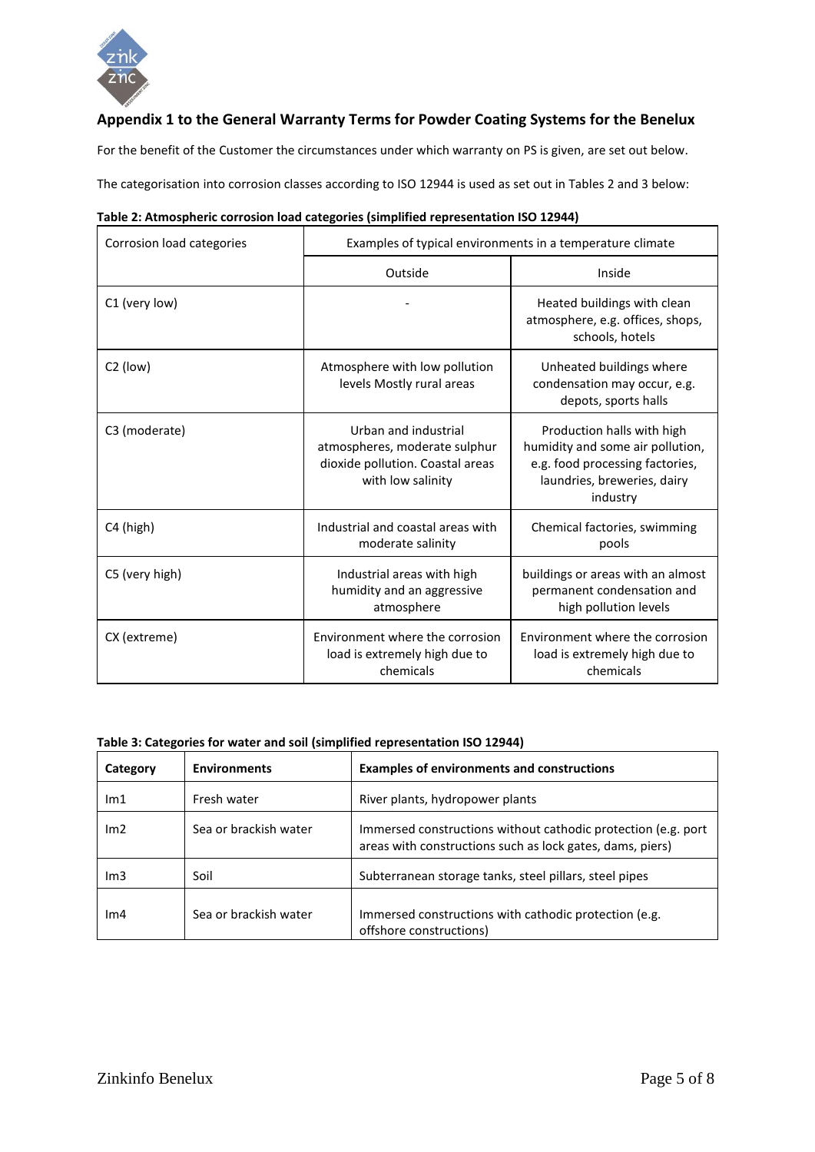

## **Appendix 1 to the General Warranty Terms for Powder Coating Systems for the Benelux**

For the benefit of the Customer the circumstances under which warranty on PS is given, are set out below.

The categorisation into corrosion classes according to ISO 12944 is used as set out in Tables 2 and 3 below:

| Table 2: Atmospheric corrosion load categories (simplified representation ISO 12944) |  |  |
|--------------------------------------------------------------------------------------|--|--|
|--------------------------------------------------------------------------------------|--|--|

| Corrosion load categories | Examples of typical environments in a temperature climate                                                      |                                                                                                                                              |  |  |
|---------------------------|----------------------------------------------------------------------------------------------------------------|----------------------------------------------------------------------------------------------------------------------------------------------|--|--|
|                           | Outside                                                                                                        | Inside                                                                                                                                       |  |  |
| C1 (very low)             |                                                                                                                | Heated buildings with clean<br>atmosphere, e.g. offices, shops,<br>schools, hotels                                                           |  |  |
| $C2$ (low)                | Atmosphere with low pollution<br>levels Mostly rural areas                                                     | Unheated buildings where<br>condensation may occur, e.g.<br>depots, sports halls                                                             |  |  |
| C3 (moderate)             | Urban and industrial<br>atmospheres, moderate sulphur<br>dioxide pollution. Coastal areas<br>with low salinity | Production halls with high<br>humidity and some air pollution,<br>e.g. food processing factories,<br>laundries, breweries, dairy<br>industry |  |  |
| C4 (high)                 | Industrial and coastal areas with<br>moderate salinity                                                         | Chemical factories, swimming<br>pools                                                                                                        |  |  |
| C5 (very high)            | Industrial areas with high<br>humidity and an aggressive<br>atmosphere                                         | buildings or areas with an almost<br>permanent condensation and<br>high pollution levels                                                     |  |  |
| CX (extreme)              | Environment where the corrosion<br>load is extremely high due to<br>chemicals                                  | Environment where the corrosion<br>load is extremely high due to<br>chemicals                                                                |  |  |

| Category        | <b>Environments</b>   | <b>Examples of environments and constructions</b>                                                                          |
|-----------------|-----------------------|----------------------------------------------------------------------------------------------------------------------------|
| Im1             | Fresh water           | River plants, hydropower plants                                                                                            |
| Im <sub>2</sub> | Sea or brackish water | Immersed constructions without cathodic protection (e.g. port<br>areas with constructions such as lock gates, dams, piers) |
| Im3             | Soil                  | Subterranean storage tanks, steel pillars, steel pipes                                                                     |
| Im <sub>4</sub> | Sea or brackish water | Immersed constructions with cathodic protection (e.g.<br>offshore constructions)                                           |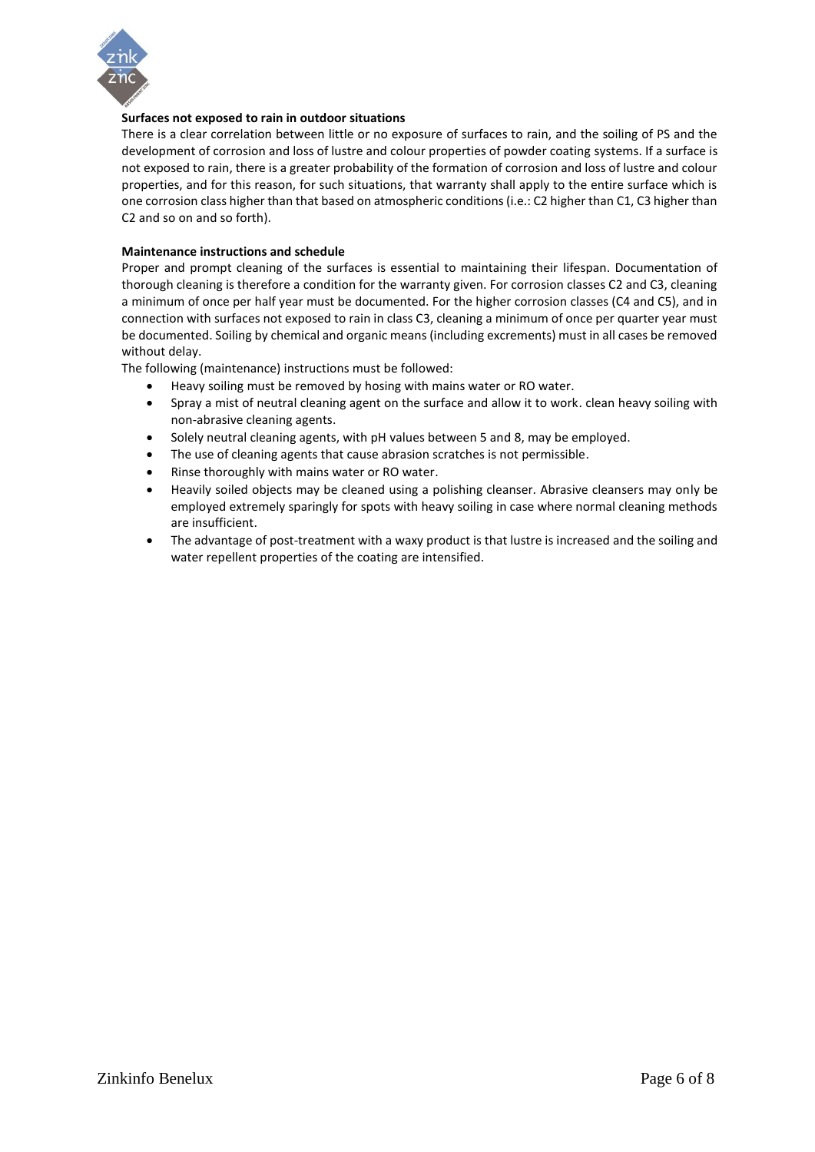

## **Surfaces not exposed to rain in outdoor situations**

There is a clear correlation between little or no exposure of surfaces to rain, and the soiling of PS and the development of corrosion and loss of lustre and colour properties of powder coating systems. If a surface is not exposed to rain, there is a greater probability of the formation of corrosion and loss of lustre and colour properties, and for this reason, for such situations, that warranty shall apply to the entire surface which is one corrosion class higher than that based on atmospheric conditions (i.e.: C2 higher than C1, C3 higher than C2 and so on and so forth).

#### **Maintenance instructions and schedule**

Proper and prompt cleaning of the surfaces is essential to maintaining their lifespan. Documentation of thorough cleaning is therefore a condition for the warranty given. For corrosion classes C2 and C3, cleaning a minimum of once per half year must be documented. For the higher corrosion classes (C4 and C5), and in connection with surfaces not exposed to rain in class C3, cleaning a minimum of once per quarter year must be documented. Soiling by chemical and organic means (including excrements) must in all cases be removed without delay.

The following (maintenance) instructions must be followed:

- Heavy soiling must be removed by hosing with mains water or RO water.
- Spray a mist of neutral cleaning agent on the surface and allow it to work. clean heavy soiling with non-abrasive cleaning agents.
- Solely neutral cleaning agents, with pH values between 5 and 8, may be employed.
- The use of cleaning agents that cause abrasion scratches is not permissible.
- Rinse thoroughly with mains water or RO water.
- Heavily soiled objects may be cleaned using a polishing cleanser. Abrasive cleansers may only be employed extremely sparingly for spots with heavy soiling in case where normal cleaning methods are insufficient.
- The advantage of post-treatment with a waxy product is that lustre is increased and the soiling and water repellent properties of the coating are intensified.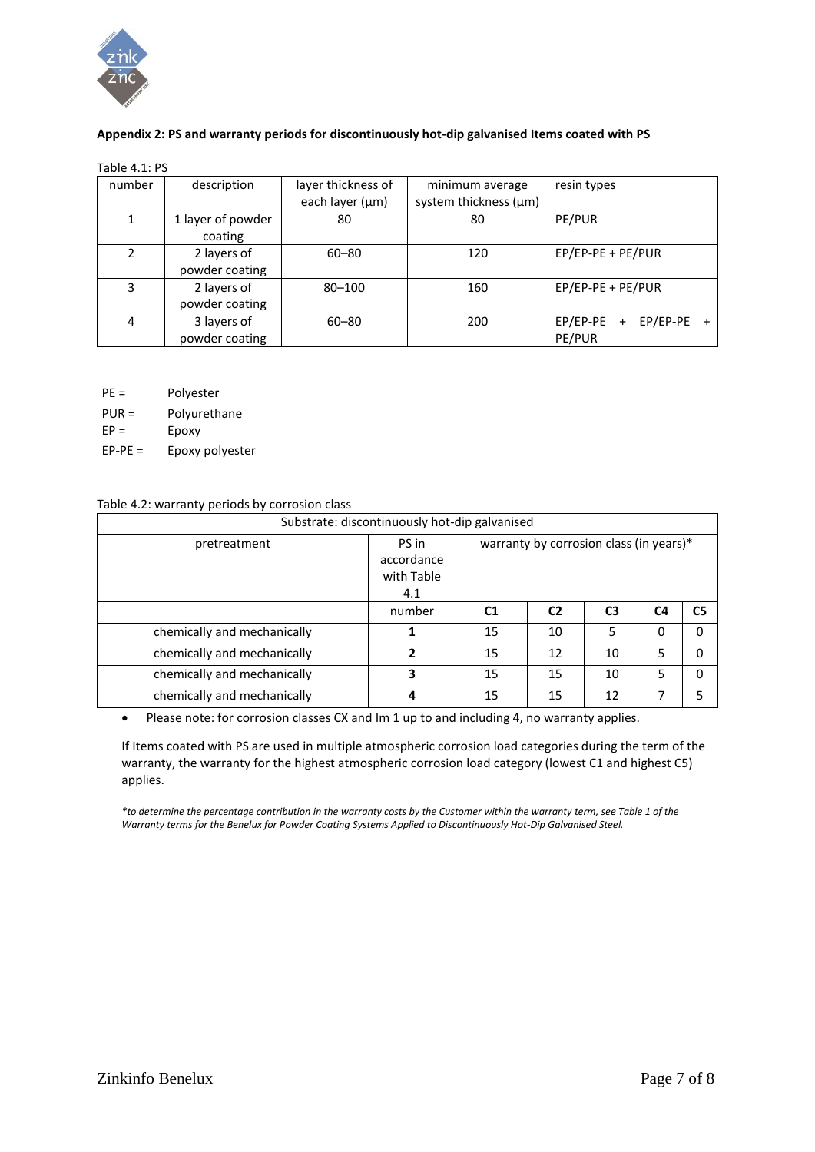

## **Appendix 2: PS and warranty periods for discontinuously hot-dip galvanised Items coated with PS**

| number | description                   | layer thickness of<br>each layer (µm) | minimum average<br>system thickness (µm) | resin types                                              |
|--------|-------------------------------|---------------------------------------|------------------------------------------|----------------------------------------------------------|
|        | 1 layer of powder<br>coating  | 80                                    | 80                                       | PE/PUR                                                   |
| 2      | 2 layers of<br>powder coating | $60 - 80$                             | 120                                      | EP/EP-PE + PE/PUR                                        |
| 3      | 2 layers of<br>powder coating | $80 - 100$                            | 160                                      | EP/EP-PE + PE/PUR                                        |
| 4      | 3 layers of<br>powder coating | $60 - 80$                             | 200                                      | EP/EP-PE<br>EP/EP-PE<br>$\ddot{}$<br>$\ddot{}$<br>PE/PUR |

- PE = Polyester
- PUR = Polyurethane
- $EP =$  Epoxy
- EP-PE = Epoxy polyester

## Table 4.2: warranty periods by corrosion class

| Substrate: discontinuously hot-dip galvanised |                                          |                                         |                |                |    |                |  |
|-----------------------------------------------|------------------------------------------|-----------------------------------------|----------------|----------------|----|----------------|--|
| pretreatment                                  | PS in<br>accordance<br>with Table<br>4.1 | warranty by corrosion class (in years)* |                |                |    |                |  |
|                                               | number                                   | C <sub>1</sub>                          | C <sub>2</sub> | C <sub>3</sub> | C4 | C <sub>5</sub> |  |
| chemically and mechanically                   |                                          | 15                                      | 10             | 5              | 0  | 0              |  |
| chemically and mechanically                   | 2                                        | 15                                      | 12             | 10             | 5  | $\Omega$       |  |
| chemically and mechanically                   | 3                                        | 15                                      | 15             | 10             | 5  | O              |  |
| chemically and mechanically                   | Δ                                        | 15                                      | 15             | 12             | 7  | 5              |  |

• Please note: for corrosion classes CX and Im 1 up to and including 4, no warranty applies.

If Items coated with PS are used in multiple atmospheric corrosion load categories during the term of the warranty, the warranty for the highest atmospheric corrosion load category (lowest C1 and highest C5) applies.

*\*to determine the percentage contribution in the warranty costs by the Customer within the warranty term, see Table 1 of the Warranty terms for the Benelux for Powder Coating Systems Applied to Discontinuously Hot-Dip Galvanised Steel.*